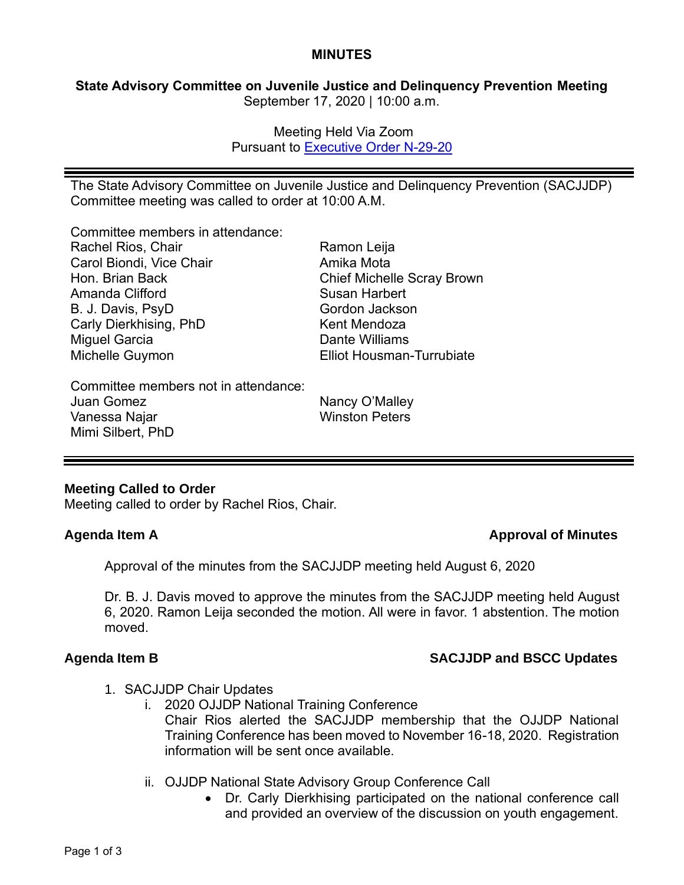### **MINUTES**

## **State Advisory Committee on Juvenile Justice and Delinquency Prevention Meeting** September 17, 2020 | 10:00 a.m.

Meeting Held Via Zoom Pursuant to [Executive Order N-29-20](https://www.gov.ca.gov/wp-content/uploads/2020/03/3.17.20-N-29-20-EO.pdf)

The State Advisory Committee on Juvenile Justice and Delinquency Prevention (SACJJDP) Committee meeting was called to order at 10:00 A.M.

Committee members in attendance:

| Rachel Rios, Chair                   | Ramon Leija                       |
|--------------------------------------|-----------------------------------|
| Carol Biondi, Vice Chair             | Amika Mota                        |
| Hon. Brian Back                      | <b>Chief Michelle Scray Brown</b> |
| Amanda Clifford                      | <b>Susan Harbert</b>              |
| B. J. Davis, PsyD                    | Gordon Jackson                    |
| Carly Dierkhising, PhD               | Kent Mendoza                      |
| <b>Miguel Garcia</b>                 | Dante Williams                    |
| Michelle Guymon                      | <b>Elliot Housman-Turrubiate</b>  |
| Committee members not in attendance: |                                   |
| Juan Gomez                           | Nancy O'Malley                    |
| Vanessa Najar                        | <b>Winston Peters</b>             |

## **Meeting Called to Order**

Mimi Silbert, PhD

Meeting called to order by Rachel Rios, Chair.

## **Agenda Item A Approval of Minutes**

Approval of the minutes from the SACJJDP meeting held August 6, 2020

Dr. B. J. Davis moved to approve the minutes from the SACJJDP meeting held August 6, 2020. Ramon Leija seconded the motion. All were in favor. 1 abstention. The motion moved.

# **Agenda Item B SACJJDP and BSCC Updates**

- 1. SACJJDP Chair Updates
	- i. 2020 OJJDP National Training Conference Chair Rios alerted the SACJJDP membership that the OJJDP National Training Conference has been moved to November 16-18, 2020. Registration information will be sent once available.
	- ii. OJJDP National State Advisory Group Conference Call
		- Dr. Carly Dierkhising participated on the national conference call and provided an overview of the discussion on youth engagement.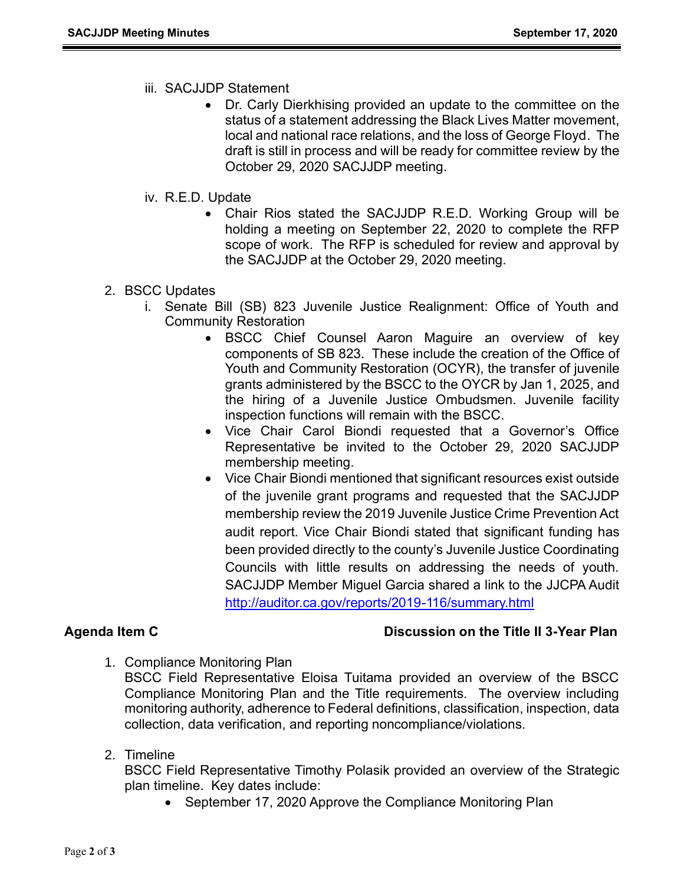- iii. SACJJDP Statement
	- Dr. Carly Dierkhising provided an update to the committee on the status of a statement addressing the Black Lives Matter movement, local and national race relations, and the loss of George Floyd. The draft is still in process and will be ready for committee review by the October 29, 2020 SACJJDP meeting.
- iv. R.E.D. Update
	- Chair Rios stated the SACJJDP R.E.D. Working Group will be holding a meeting on September 22, 2020 to complete the RFP scope of work. The RFP is scheduled for review and approval by the SACJJDP at the October 29, 2020 meeting.
- 2. BSCC Updates
	- i. Senate Bill (SB) 823 Juvenile Justice Realignment: Office of Youth and Community Restoration
		- BSCC Chief Counsel Aaron Maguire an overview of key components of SB 823. These include the creation of the Office of Youth and Community Restoration (OCYR), the transfer of juvenile grants administered by the BSCC to the OYCR by Jan 1, 2025, and the hiring of a Juvenile Justice Ombudsmen. Juvenile facility inspection functions will remain with the BSCC.
		- Vice Chair Carol Biondi requested that a Governor's Office Representative be invited to the October 29, 2020 SACJJDP membership meeting.
		- Vice Chair Biondi mentioned that significant resources exist outside of the juvenile grant programs and requested that the SACJJDP membership review the 2019 Juvenile Justice Crime Prevention Act audit report. Vice Chair Biondi stated that significant funding has been provided directly to the county's Juvenile Justice Coordinating Councils with little results on addressing the needs of youth. SACJJDP Member Miguel Garcia shared a link to the JJCPA Audit <http://auditor.ca.gov/reports/2019-116/summary.html>

## **Agenda Item C Discussion on the Title II 3-Year Plan**

1. Compliance Monitoring Plan

BSCC Field Representative Eloisa Tuitama provided an overview of the BSCC Compliance Monitoring Plan and the Title requirements. The overview including monitoring authority, adherence to Federal definitions, classification, inspection, data collection, data verification, and reporting noncompliance/violations.

2. Timeline

BSCC Field Representative Timothy Polasik provided an overview of the Strategic plan timeline. Key dates include:

• September 17, 2020 Approve the Compliance Monitoring Plan